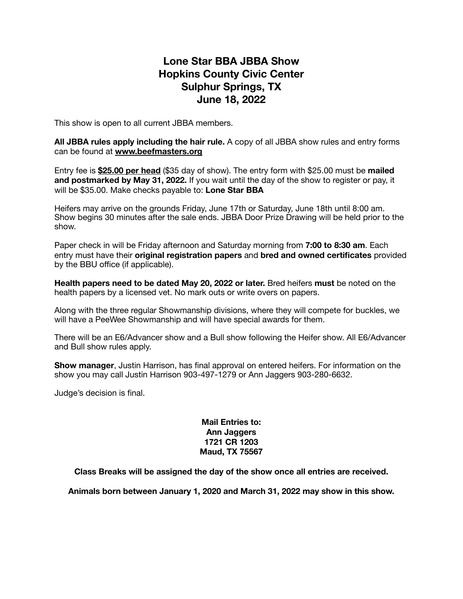## **Lone Star BBA JBBA Show Hopkins County Civic Center Sulphur Springs, TX June 18, 2022**

This show is open to all current JBBA members.

**All JBBA rules apply including the hair rule.** A copy of all JBBA show rules and entry forms can be found at **[www.beefmasters.org](http://www.beefmasters.org)**

Entry fee is **\$25.00 per head** (\$35 day of show). The entry form with \$25.00 must be **mailed and postmarked by May 31, 2022.** If you wait until the day of the show to register or pay, it will be \$35.00. Make checks payable to: **Lone Star BBA**

Heifers may arrive on the grounds Friday, June 17th or Saturday, June 18th until 8:00 am. Show begins 30 minutes after the sale ends. JBBA Door Prize Drawing will be held prior to the show.

Paper check in will be Friday afternoon and Saturday morning from **7:00 to 8:30 am**. Each entry must have their **original registration papers** and **bred and owned certificates** provided by the BBU office (if applicable).

**Health papers need to be dated May 20, 2022 or later.** Bred heifers **must** be noted on the health papers by a licensed vet. No mark outs or write overs on papers.

Along with the three regular Showmanship divisions, where they will compete for buckles, we will have a PeeWee Showmanship and will have special awards for them.

There will be an E6/Advancer show and a Bull show following the Heifer show. All E6/Advancer and Bull show rules apply.

**Show manager**, Justin Harrison, has final approval on entered heifers. For information on the show you may call Justin Harrison 903-497-1279 or Ann Jaggers 903-280-6632.

Judge's decision is final.

## **Mail Entries to: Ann Jaggers 1721 CR 1203 Maud, TX 75567**

**Class Breaks will be assigned the day of the show once all entries are received.** 

**Animals born between January 1, 2020 and March 31, 2022 may show in this show.**